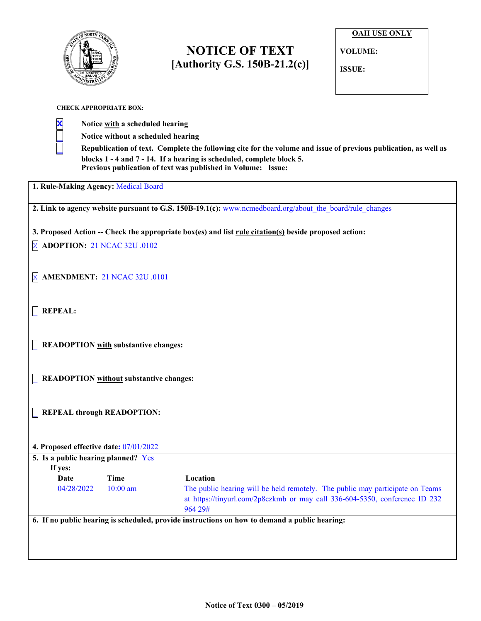

# **NOTICE OF TEXT [Authority G.S. 150B-21.2(c)]**

| <b>OAH USE ONLY</b> |
|---------------------|
| <b>VOLUME:</b>      |
| ISSUE:              |

### **CHECK APPROPRIATE BOX:**

**X Notice with a scheduled hearing \_ Notice without a scheduled hearing**

Republication of text. Complete the following cite for the volume and issue of previous publication, as well as **blocks 1 - 4 and 7 - 14. If a hearing is scheduled, complete block 5. Previous publication of text was published in Volume: Issue:**

**1. Rule-Making Agency:** Medical Board

**2. Link to agency website pursuant to G.S. 150B-19.1(c):** www.ncmedboard.org/about\_the\_board/rule\_changes

**3. Proposed Action -- Check the appropriate box(es) and list rule citation(s) beside proposed action:**

X **ADOPTION:** 21 NCAC 32U .0102

X **AMENDMENT:** 21 NCAC 32U .0101

\_ **REPEAL:**

\_ **READOPTION with substantive changes:**

\_ **READOPTION without substantive changes:**

\_ **REPEAL through READOPTION:**

**4. Proposed effective date:** 07/01/2022 **5. Is a public hearing planned?** Yes  **If yes: Date Time Location** 04/28/2022 10:00 am The public hearing will be held remotely. The public may participate on Teams at https://tinyurl.com/2p8czkmb or may call 336-604-5350, conference ID 232 964 29# **6. If no public hearing is scheduled, provide instructions on how to demand a public hearing:**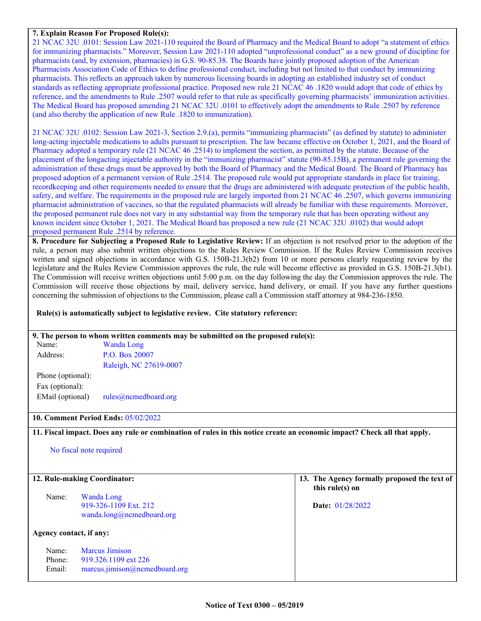### **7. Explain Reason For Proposed Rule(s):**

21 NCAC 32U .0101: Session Law 2021-110 required the Board of Pharmacy and the Medical Board to adopt "a statement of ethics for immunizing pharmacists." Moreover, Session Law 2021-110 adopted "unprofessional conduct" as a new ground of discipline for pharmacists (and, by extension, pharmacies) in G.S. 90-85.38. The Boards have jointly proposed adoption of the American Pharmacists Association Code of Ethics to define professional conduct, including but not limited to that conduct by immunizing pharmacists. This reflects an approach taken by numerous licensing boards in adopting an established industry set of conduct standards as reflecting appropriate professional practice. Proposed new rule 21 NCAC 46 .1820 would adopt that code of ethics by reference, and the amendments to Rule .2507 would refer to that rule as specifically governing pharmacists' immunization activities. The Medical Board has proposed amending 21 NCAC 32U .0101 to effectively adopt the amendments to Rule .2507 by reference (and also thereby the application of new Rule .1820 to immunization).

21 NCAC 32U .0102: Session Law 2021-3, Section 2.9.(a), permits "immunizing pharmacists" (as defined by statute) to administer long-acting injectable medications to adults pursuant to prescription. The law became effective on October 1, 2021, and the Board of Pharmacy adopted a temporary rule (21 NCAC 46 .2514) to implement the section, as permitted by the statute. Because of the placement of the longacting injectable authority in the "immunizing pharmacist" statute (90-85.15B), a permanent rule governing the administration of these drugs must be approved by both the Board of Pharmacy and the Medical Board. The Board of Pharmacy has proposed adoption of a permanent version of Rule .2514. The proposed rule would put appropriate standards in place for training, recordkeeping and other requirements needed to ensure that the drugs are administered with adequate protection of the public health, safety, and welfare. The requirements in the proposed rule are largely imported from 21 NCAC 46 .2507, which governs immunizing pharmacist administration of vaccines, so that the regulated pharmacists will already be familiar with these requirements. Moreover, the proposed permanent rule does not vary in any substantial way from the temporary rule that has been operating without any known incident since October 1, 2021. The Medical Board has proposed a new rule (21 NCAC 32U .0102) that would adopt proposed permanent Rule .2514 by reference.

**8. Procedure for Subjecting a Proposed Rule to Legislative Review:** If an objection is not resolved prior to the adoption of the rule, a person may also submit written objections to the Rules Review Commission. If the Rules Review Commission receives written and signed objections in accordance with G.S. 150B-21.3(b2) from 10 or more persons clearly requesting review by the legislature and the Rules Review Commission approves the rule, the rule will become effective as provided in G.S. 150B-21.3(b1). The Commission will receive written objections until 5:00 p.m. on the day following the day the Commission approves the rule. The Commission will receive those objections by mail, delivery service, hand delivery, or email. If you have any further questions concerning the submission of objections to the Commission, please call a Commission staff attorney at 984-236-1850.

### **Rule(s) is automatically subject to legislative review. Cite statutory reference:**

|                         | 9. The person to whom written comments may be submitted on the proposed rule(s): |                                                                                                                          |
|-------------------------|----------------------------------------------------------------------------------|--------------------------------------------------------------------------------------------------------------------------|
| Name:                   | <b>Wanda Long</b>                                                                |                                                                                                                          |
| Address:                | P.O. Box 20007                                                                   |                                                                                                                          |
|                         | Raleigh, NC 27619-0007                                                           |                                                                                                                          |
| Phone (optional):       |                                                                                  |                                                                                                                          |
| Fax (optional):         |                                                                                  |                                                                                                                          |
| EMail (optional)        |                                                                                  |                                                                                                                          |
|                         |                                                                                  |                                                                                                                          |
|                         | 10. Comment Period Ends: 05/02/2022                                              |                                                                                                                          |
|                         |                                                                                  | 11. Fiscal impact. Does any rule or combination of rules in this notice create an economic impact? Check all that apply. |
|                         |                                                                                  |                                                                                                                          |
|                         | No fiscal note required                                                          |                                                                                                                          |
|                         |                                                                                  |                                                                                                                          |
|                         | 12. Rule-making Coordinator:                                                     | 13. The Agency formally proposed the text of                                                                             |
|                         |                                                                                  | this rule(s) on                                                                                                          |
| Name:                   | <b>Wanda Long</b>                                                                |                                                                                                                          |
|                         | 919-326-1109 Ext. 212                                                            | Date: 01/28/2022                                                                                                         |
|                         | wanda.long@ncmedboard.org                                                        |                                                                                                                          |
| Agency contact, if any: |                                                                                  |                                                                                                                          |
|                         |                                                                                  |                                                                                                                          |
| Name:                   | <b>Marcus Jimison</b>                                                            |                                                                                                                          |
| Phone:                  | 919.326.1109 ext 226                                                             |                                                                                                                          |
| Email:                  | $maxcus.$ jimison@ncmedboard.org                                                 |                                                                                                                          |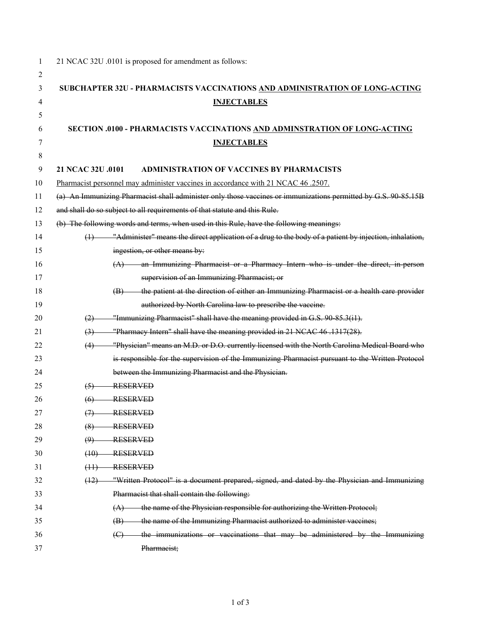| 1      | 21 NCAC 32U .0101 is proposed for amendment as follows:                                                                     |  |  |  |  |  |
|--------|-----------------------------------------------------------------------------------------------------------------------------|--|--|--|--|--|
| 2<br>3 |                                                                                                                             |  |  |  |  |  |
| 4      | SUBCHAPTER 32U - PHARMACISTS VACCINATIONS AND ADMINISTRATION OF LONG-ACTING                                                 |  |  |  |  |  |
| 5      | <b>INJECTABLES</b>                                                                                                          |  |  |  |  |  |
| 6      | SECTION .0100 - PHARMACISTS VACCINATIONS AND ADMINSTRATION OF LONG-ACTING                                                   |  |  |  |  |  |
| 7      | <b>INJECTABLES</b>                                                                                                          |  |  |  |  |  |
| 8      |                                                                                                                             |  |  |  |  |  |
| 9      | 21 NCAC 32U .0101<br><b>ADMINISTRATION OF VACCINES BY PHARMACISTS</b>                                                       |  |  |  |  |  |
| 10     | Pharmacist personnel may administer vaccines in accordance with 21 NCAC 46 .2507.                                           |  |  |  |  |  |
| 11     | (a) An Immunizing Pharmacist shall administer only those vaccines or immunizations permitted by G.S. 90-85.15B              |  |  |  |  |  |
| 12     | and shall do so subject to all requirements of that statute and this Rule.                                                  |  |  |  |  |  |
| 13     | (b) The following words and terms, when used in this Rule, have the following meanings:                                     |  |  |  |  |  |
| 14     | "Administer" means the direct application of a drug to the body of a patient by injection, inhalation,<br>$\leftrightarrow$ |  |  |  |  |  |
| 15     | ingestion, or other means by:                                                                                               |  |  |  |  |  |
| 16     | (A) an Immunizing Pharmacist or a Pharmacy Intern who is under the direct, in person                                        |  |  |  |  |  |
| 17     | supervision of an Immunizing Pharmacist; or                                                                                 |  |  |  |  |  |
| 18     | the patient at the direction of either an Immunizing Pharmacist or a health care provider<br>(B)                            |  |  |  |  |  |
| 19     | authorized by North Carolina law to prescribe the vaccine.                                                                  |  |  |  |  |  |
| 20     | "Immunizing Pharmacist" shall have the meaning provided in G.S. 90-85.3(i1).<br>(2)                                         |  |  |  |  |  |
| 21     | "Pharmacy Intern" shall have the meaning provided in 21 NCAC 46 .1317(28).<br>$\left(3\right)$                              |  |  |  |  |  |
| 22     | "Physician" means an M.D. or D.O. currently licensed with the North Carolina Medical Board who<br>(4)                       |  |  |  |  |  |
| 23     | is responsible for the supervision of the Immunizing Pharmacist pursuant to the Written Protocol                            |  |  |  |  |  |
| 24     | between the Immunizing Pharmacist and the Physician.                                                                        |  |  |  |  |  |
| 25     | <b>RESERVED</b><br>(5)                                                                                                      |  |  |  |  |  |
| 26     | <b>RESERVED</b><br>(6)                                                                                                      |  |  |  |  |  |
| 27     | <b>RESERVED</b><br>$\leftrightarrow$                                                                                        |  |  |  |  |  |
| 28     | <b>RESERVED</b><br>(8)                                                                                                      |  |  |  |  |  |
| 29     | <b>RESERVED</b><br>$\Theta$                                                                                                 |  |  |  |  |  |
| 30     | <b>RESERVED</b><br>(10)                                                                                                     |  |  |  |  |  |
| 31     | <b>RESERVED</b><br>(11)                                                                                                     |  |  |  |  |  |
| 32     | "Written Protocol" is a document prepared, signed, and dated by the Physician and Immunizing<br>(12)                        |  |  |  |  |  |
| 33     | Pharmacist that shall contain the following:                                                                                |  |  |  |  |  |
| 34     | the name of the Physician responsible for authorizing the Written Protocol;<br>(A)                                          |  |  |  |  |  |
| 35     | the name of the Immunizing Pharmacist authorized to administer vaccines;<br>$\langle \mathbf{B} \rangle$                    |  |  |  |  |  |
| 36     | the immunizations or vaccinations that may be administered by the Immunizing<br>$\Theta$                                    |  |  |  |  |  |
| 37     | Pharmacist;                                                                                                                 |  |  |  |  |  |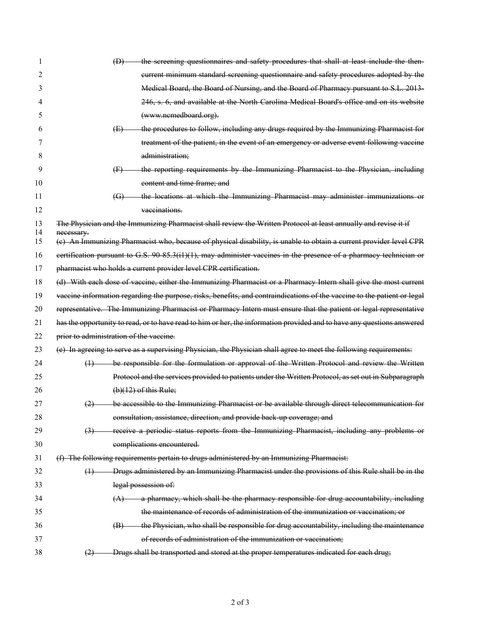| 1        | the screening questionnaires and safety procedures that shall at least include the then-<br>$\bigoplus$                        |
|----------|--------------------------------------------------------------------------------------------------------------------------------|
| 2        | current minimum standard screening questionnaire and safety procedures adopted by the                                          |
| 3        | Medical Board, the Board of Nursing, and the Board of Pharmacy pursuant to S.L. 2013-                                          |
|          | 246, s. 6, and available at the North Carolina Medical Board's office and on its website                                       |
| 5        | (www.nemedboard.org).                                                                                                          |
| 6        | the procedures to follow, including any drugs required by the Immunizing Pharmacist for<br>(E)                                 |
| 7        | treatment of the patient, in the event of an emergency or adverse event following vaccine                                      |
| 8        | administration;                                                                                                                |
| 9        | the reporting requirements by the Immunizing Pharmacist to the Physician, including<br>$\oplus$                                |
| 10       | content and time frame; and                                                                                                    |
| 11       | the locations at which the Immunizing Pharmacist may administer immunizations or<br>$\left(\mathbb{G}\right)$                  |
| 12       | vaccinations                                                                                                                   |
| 13<br>14 | The Physician and the Immunizing Pharmacist shall review the Written Protocol at least annually and revise it if<br>necessary. |
| 15       | (e) An Immunizing Pharmacist who, because of physical disability, is unable to obtain a current provider level CPR             |
| 16       | certification pursuant to G.S. $90-85.3(i1)(1)$ , may administer vaccines in the presence of a pharmacy technician or          |
| 17       | pharmacist who holds a current provider level CPR certification.                                                               |
| 18       | (d) With each dose of vaccine, either the Immunizing Pharmacist or a Pharmacy Intern shall give the most current               |
| 19       | vaccine information regarding the purpose, risks, benefits, and contraindications of the vaccine to the patient or legal       |
| 20       | representative. The Immunizing Pharmacist or Pharmacy Intern must ensure that the patient or legal representative              |
| 21       | has the opportunity to read, or to have read to him or her, the information provided and to have any questions answered        |
| 22       | prior to administration of the vaccine.                                                                                        |
| 23       | (e) In agreeing to serve as a supervising Physician, the Physician shall agree to meet the following requirements:             |
| 24       | be responsible for the formulation or approval of the Written Protocol and review the Written<br>$\leftrightarrow$             |
| 25       | Protocol and the services provided to patients under the Written Protocol, as set out in Subparagraph                          |
| 26       | $(b)(12)$ of this Rule;                                                                                                        |
| 27       | be accessible to the Immunizing Pharmacist or be available through direct telecommunication for<br>(2)                         |
| 28       | consultation, assistance, direction, and provide back-up coverage; and                                                         |
| 29       | receive a periodic status reports from the Immunizing Pharmacist, including any problems or<br>$\left(3\right)$                |
| 30       | complications encountered.                                                                                                     |
| 31       | (f) The following requirements pertain to drugs administered by an Immunizing Pharmacist:                                      |
| 32       | Drugs administered by an Immunizing Pharmacist under the provisions of this Rule shall be in the<br>$\leftrightarrow$          |
| 33       | legal possession of:                                                                                                           |
| 34       | $(A)$ a pharmacy, which shall be the pharmacy responsible for drug accountability, including                                   |
| 35       | the maintenance of records of administration of the immunization or vaccination; or                                            |
| 36       | the Physician, who shall be responsible for drug accountability, including the maintenance<br>(B)                              |
| 37       | of records of administration of the immunization or vaccination;                                                               |
| 38       | Drugs shall be transported and stored at the proper temperatures indicated for each drug;<br>(2)                               |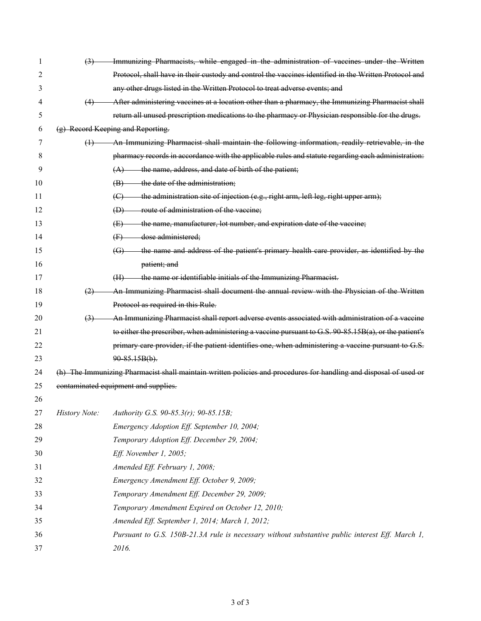| 1  | (3)                  | Immunizing Pharmacists, while engaged in the administration of vaccines under the Written                         |  |  |  |
|----|----------------------|-------------------------------------------------------------------------------------------------------------------|--|--|--|
| 2  |                      | Protocol, shall have in their custody and control the vaccines identified in the Written Protocol and             |  |  |  |
| 3  |                      | any other drugs listed in the Written Protocol to treat adverse events; and                                       |  |  |  |
| 4  | (4)                  | After administering vaccines at a location other than a pharmacy, the Immunizing Pharmacist shall                 |  |  |  |
| 5  |                      | return all unused prescription medications to the pharmacy or Physician responsible for the drugs.                |  |  |  |
| 6  |                      | (g) Record Keeping and Reporting.                                                                                 |  |  |  |
| 7  | $\leftrightarrow$    | An Immunizing Pharmacist shall maintain the following information, readily retrievable, in the                    |  |  |  |
| 8  |                      | pharmacy records in accordance with the applicable rules and statute regarding each administration:               |  |  |  |
| 9  |                      | $(A)$ the name, address, and date of birth of the patient;                                                        |  |  |  |
| 10 |                      | $(B)$ the date of the administration;                                                                             |  |  |  |
| 11 |                      | the administration site of injection (e.g., right arm, left leg, right upper arm);<br>$\left(\bigoplus\right)$    |  |  |  |
| 12 |                      | route of administration of the vaccine;<br>$\oplus$                                                               |  |  |  |
| 13 |                      | the name, manufacturer, lot number, and expiration date of the vaccine;<br>(E)                                    |  |  |  |
| 14 |                      | dose administered;<br>$\oplus$                                                                                    |  |  |  |
| 15 |                      | the name and address of the patient's primary health care provider, as identified by the<br>$\left( G\right)$     |  |  |  |
| 16 |                      | patient; and                                                                                                      |  |  |  |
| 17 |                      | the name or identifiable initials of the Immunizing Pharmacist.<br>(H)                                            |  |  |  |
| 18 | (2)                  | An Immunizing Pharmacist shall document the annual review with the Physician of the Written                       |  |  |  |
| 19 |                      | Protocol as required in this Rule.                                                                                |  |  |  |
| 20 | $\left(3\right)$     | An Immunizing Pharmacist shall report adverse events associated with administration of a vaccine                  |  |  |  |
| 21 |                      | to either the prescriber, when administering a vaccine pursuant to G.S. 90-85.15B(a), or the patient's            |  |  |  |
| 22 |                      | primary care provider, if the patient identifies one, when administering a vaccine pursuant to G.S.               |  |  |  |
| 23 |                      | $90-85.15B(b)$ .                                                                                                  |  |  |  |
| 24 |                      | (h) The Immunizing Pharmacist shall maintain written policies and procedures for handling and disposal of used or |  |  |  |
| 25 |                      | contaminated equipment and supplies.                                                                              |  |  |  |
| 26 |                      |                                                                                                                   |  |  |  |
| 27 | <b>History Note:</b> | Authority G.S. 90-85.3(r); 90-85.15B;                                                                             |  |  |  |
| 28 |                      | Emergency Adoption Eff. September 10, 2004;                                                                       |  |  |  |
| 29 |                      | Temporary Adoption Eff. December 29, 2004;                                                                        |  |  |  |
| 30 |                      | Eff. November 1, 2005;                                                                                            |  |  |  |
| 31 |                      | Amended Eff. February 1, 2008;                                                                                    |  |  |  |
| 32 |                      | Emergency Amendment Eff. October 9, 2009;                                                                         |  |  |  |
| 33 |                      | Temporary Amendment Eff. December 29, 2009;                                                                       |  |  |  |
| 34 |                      | Temporary Amendment Expired on October 12, 2010;                                                                  |  |  |  |
| 35 |                      | Amended Eff. September 1, 2014; March 1, 2012;                                                                    |  |  |  |
| 36 |                      | Pursuant to G.S. 150B-21.3A rule is necessary without substantive public interest Eff. March 1,                   |  |  |  |
| 37 |                      | 2016.                                                                                                             |  |  |  |